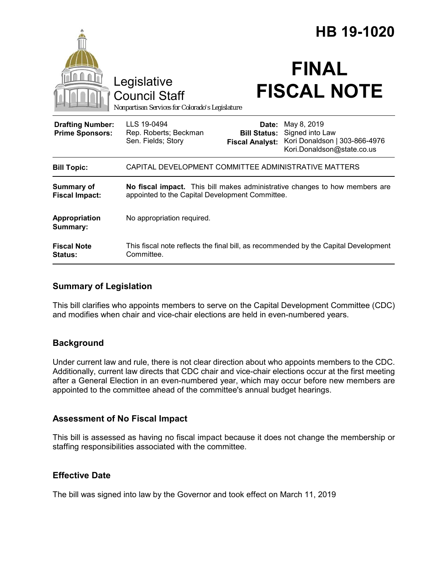|                                                   |                                                                                                                                |                                                        | HB 19-1020                                                                                    |
|---------------------------------------------------|--------------------------------------------------------------------------------------------------------------------------------|--------------------------------------------------------|-----------------------------------------------------------------------------------------------|
|                                                   | Legislative<br><b>Council Staff</b><br>Nonpartisan Services for Colorado's Legislature                                         |                                                        | <b>FINAL</b><br><b>FISCAL NOTE</b>                                                            |
| <b>Drafting Number:</b><br><b>Prime Sponsors:</b> | LLS 19-0494<br>Rep. Roberts; Beckman<br>Sen. Fields; Story                                                                     | Date:<br><b>Bill Status:</b><br><b>Fiscal Analyst:</b> | May 8, 2019<br>Signed into Law<br>Kori Donaldson   303-866-4976<br>Kori.Donaldson@state.co.us |
| <b>Bill Topic:</b>                                | CAPITAL DEVELOPMENT COMMITTEE ADMINISTRATIVE MATTERS                                                                           |                                                        |                                                                                               |
| <b>Summary of</b><br><b>Fiscal Impact:</b>        | No fiscal impact. This bill makes administrative changes to how members are<br>appointed to the Capital Development Committee. |                                                        |                                                                                               |
| Appropriation<br>Summary:                         | No appropriation required.                                                                                                     |                                                        |                                                                                               |
| <b>Fiscal Note</b><br><b>Status:</b>              | Committee.                                                                                                                     |                                                        | This fiscal note reflects the final bill, as recommended by the Capital Development           |

## **Summary of Legislation**

This bill clarifies who appoints members to serve on the Capital Development Committee (CDC) and modifies when chair and vice-chair elections are held in even-numbered years.

## **Background**

Under current law and rule, there is not clear direction about who appoints members to the CDC. Additionally, current law directs that CDC chair and vice-chair elections occur at the first meeting after a General Election in an even-numbered year, which may occur before new members are appointed to the committee ahead of the committee's annual budget hearings.

## **Assessment of No Fiscal Impact**

This bill is assessed as having no fiscal impact because it does not change the membership or staffing responsibilities associated with the committee.

## **Effective Date**

The bill was signed into law by the Governor and took effect on March 11, 2019